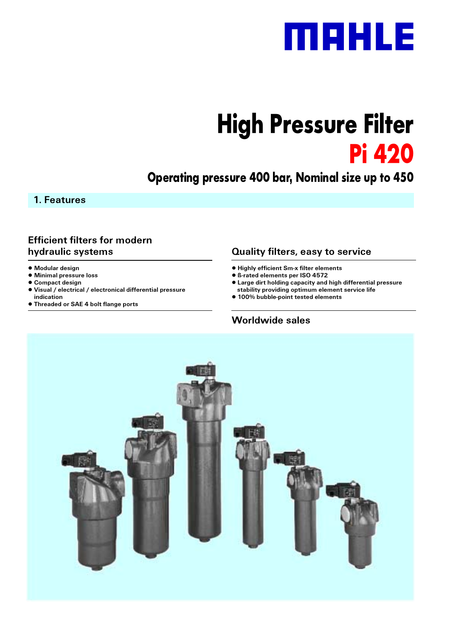

# **High Pressure Filter Pi 420**

# **Operating pressure 400 bar, Nominal size up to 450**

1. Features

### **Efficient filters for modern hydraulic systems**

- $\bullet$  **Modular design**
- $\bullet$  Minimal pressure loss
- **Compact design**
- $\bullet$  Visual / electrical / electronical differential pressure **indication**
- **Threaded or SAE 4 bolt flange ports • Threaded or SAE 4 boltflange ports**

# **Quality filters, easy to service**

- $\bullet$  **Highly efficient Sm-x filter elements**
- **B-rated elements per ISO 4572**
- **Large dirt holding capacity and high differential pressure**
- stability providing optimum element service life
- **100% bubble-point tested elements**

### **Worldwide sales**

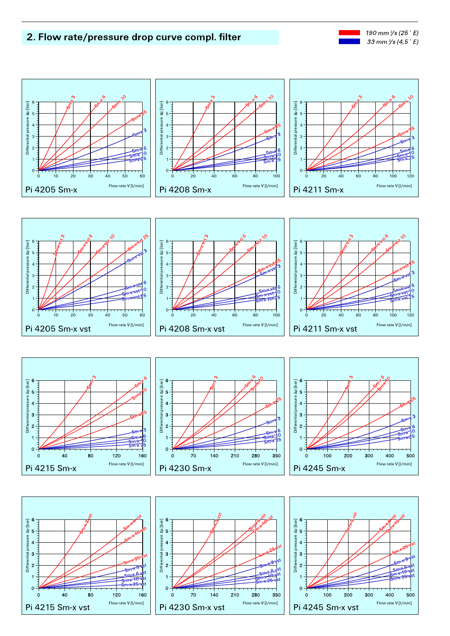### 2. Flow rate/pressure drop curve compl. filter







 $\mathbf{3}$ 

 $\Omega$ 

Differe  $\overline{2}$ 



- P

 $350$ 

**CM** 

280

Flow rate V [I/min]

210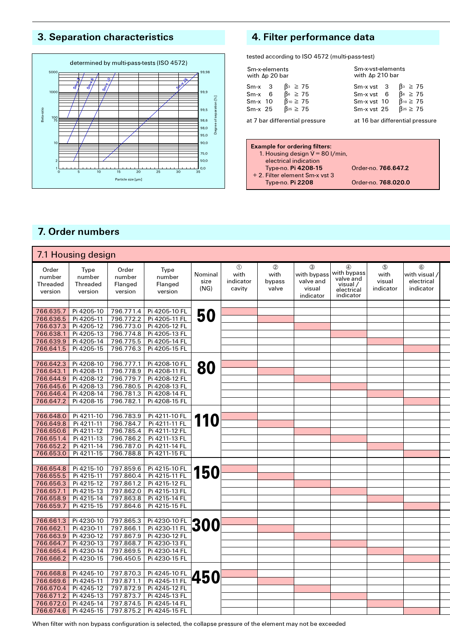# 3. Separation characteristics



# 4. Filter performance data

tested according to ISO 4572 (multi-pass-test)

| Sm-x-elements<br>with Δp 20 bar |                                | Sm-x-vst-elements<br>with Δp 210 bar |                                 |  |  |  |  |  |
|---------------------------------|--------------------------------|--------------------------------------|---------------------------------|--|--|--|--|--|
| $Sm-x$ 3                        | $\beta_3 \geq 75$              | $Sm-xvst$ 3                          | $\beta_3 \geq 75$               |  |  |  |  |  |
| $Sm-x$ 6                        | $\beta$ <sup>6</sup> $\geq$ 75 | $Sm-xvst$ 6                          | $\beta$ <sup>6</sup> $\geq$ 75  |  |  |  |  |  |
| $Sm-x$ 10                       | $\beta^{10} \geq 75$           | Sm-x vst 10                          | $\beta$ <sup>10</sup> $\geq$ 75 |  |  |  |  |  |
| $Sm-x$ 25                       | $\beta_{25} \geq 75$           | Sm-x vst 25                          | $\beta_{25} \geq 75$            |  |  |  |  |  |
|                                 | at 7 bar differential pressure | at 16 bar differential pressure      |                                 |  |  |  |  |  |

| Order-no. <b>766.647.2</b> |
|----------------------------|
|                            |
| Order-no. 768.020.0        |
|                            |

# 7. Order numbers

|                                        | 7.1 Housing design                           |                                       |                                      |                         |                                           |                                           |                                                      |                                                                                   |                                            |                                                 |  |
|----------------------------------------|----------------------------------------------|---------------------------------------|--------------------------------------|-------------------------|-------------------------------------------|-------------------------------------------|------------------------------------------------------|-----------------------------------------------------------------------------------|--------------------------------------------|-------------------------------------------------|--|
| Order<br>number<br>Threaded<br>version | Type<br>number<br><b>Threaded</b><br>version | Order<br>number<br>Flanged<br>version | Type<br>number<br>Flanged<br>version | Nominal<br>size<br>(NG) | $^{\circ}$<br>with<br>indicator<br>cavity | $^{\circledR}$<br>with<br>bypass<br>valve | 3<br>with bypass<br>valve and<br>visual<br>indicator | $^{\circledR}$<br>with bypass<br>valve and<br>visual /<br>electrical<br>indicator | $\circledS$<br>with<br>visual<br>indicator | $6$<br>with visual /<br>electrical<br>indicator |  |
|                                        |                                              |                                       |                                      |                         |                                           |                                           |                                                      |                                                                                   |                                            |                                                 |  |
| 766.635.7                              | Pi 4205-10                                   | 796.771.4                             | Pi 4205-10 FL                        | 50                      |                                           |                                           |                                                      |                                                                                   |                                            |                                                 |  |
| 766.636.5                              | Pi 4205-11                                   | 796.772.2                             | Pi 4205-11 FL                        |                         |                                           |                                           |                                                      |                                                                                   |                                            |                                                 |  |
| 766.637.3                              | Pi 4205-12                                   | 796.773.0                             | Pi 4205-12 FL                        |                         |                                           |                                           |                                                      |                                                                                   |                                            |                                                 |  |
| 766.638.1                              | Pi 4205-13                                   | 796.774.8                             | Pi 4205-13 FL                        |                         |                                           |                                           |                                                      |                                                                                   |                                            |                                                 |  |
| 766.639.9                              | Pi 4205-14                                   | 796.775.5                             | Pi 4205-14 FL                        |                         |                                           |                                           |                                                      |                                                                                   |                                            |                                                 |  |
| 766.641.5                              | Pi 4205-15                                   | 796.776.3                             | Pi 4205-15 FL                        |                         |                                           |                                           |                                                      |                                                                                   |                                            |                                                 |  |
| 766.642.3                              | Pi 4208-10                                   | 796.777.1                             | Pi 4208-10 FL                        |                         |                                           |                                           |                                                      |                                                                                   |                                            |                                                 |  |
| 766.643.1                              | Pi 4208-11                                   | 796.778.9                             | Pi 4208-11 FL                        | 80                      |                                           |                                           |                                                      |                                                                                   |                                            |                                                 |  |
| 766.644.9                              | Pi 4208-12                                   | 796.779.7                             | Pi 4208-12 FL                        |                         |                                           |                                           |                                                      |                                                                                   |                                            |                                                 |  |
| 766.645.6                              | Pi 4208-13                                   | 796.780.5                             | Pi 4208-13 FL                        |                         |                                           |                                           |                                                      |                                                                                   |                                            |                                                 |  |
| 766.646.4                              | Pi 4208-14                                   | 796.781.3                             | Pi 4208-14 FL                        |                         |                                           |                                           |                                                      |                                                                                   |                                            |                                                 |  |
| 766.647.2                              | Pi 4208-15                                   | 796.782.1                             | Pi 4208-15 FL                        |                         |                                           |                                           |                                                      |                                                                                   |                                            |                                                 |  |
|                                        |                                              |                                       |                                      |                         |                                           |                                           |                                                      |                                                                                   |                                            |                                                 |  |
| 766.648.0                              | Pi 4211-10                                   | 796.783.9                             | Pi 4211-10 FL                        |                         |                                           |                                           |                                                      |                                                                                   |                                            |                                                 |  |
| 766.649.8                              | Pi 4211-11                                   | 796.784.7                             | Pi 4211-11 FL                        | 110                     |                                           |                                           |                                                      |                                                                                   |                                            |                                                 |  |
| 766.650.6                              | Pi 4211-12                                   | 796.785.4                             | Pi 4211-12 FL                        |                         |                                           |                                           |                                                      |                                                                                   |                                            |                                                 |  |
| 766.651.4                              | Pi 4211-13                                   | 796.786.2                             | Pi 4211-13 FL                        |                         |                                           |                                           |                                                      |                                                                                   |                                            |                                                 |  |
| 766.652.2                              | Pi 4211-14                                   | 796.787.0                             | Pi 4211-14 FL                        |                         |                                           |                                           |                                                      |                                                                                   |                                            |                                                 |  |
| 766.653.0                              | Pi 4211-15                                   | 796.788.8                             | Pi 4211-15 FL                        |                         |                                           |                                           |                                                      |                                                                                   |                                            |                                                 |  |
|                                        |                                              |                                       |                                      |                         |                                           |                                           |                                                      |                                                                                   |                                            |                                                 |  |
| 766.654.8                              | Pi 4215-10                                   | 797.859.6                             | Pi 4215-10 FL                        | <b>150</b>              |                                           |                                           |                                                      |                                                                                   |                                            |                                                 |  |
| 766.655.5                              | Pi 4215-11                                   | 797.860.4                             | Pi 4215-11 FL                        |                         |                                           |                                           |                                                      |                                                                                   |                                            |                                                 |  |
| 766.656.3                              | Pi 4215-12                                   | 797.861.2                             | Pi 4215-12 FL                        |                         |                                           |                                           |                                                      |                                                                                   |                                            |                                                 |  |
| 766.657.1                              | Pi 4215-13                                   | 797.862.0                             | Pi 4215-13 FL                        |                         |                                           |                                           |                                                      |                                                                                   |                                            |                                                 |  |
| 766.658.9                              | Pi 4215-14                                   | 797.863.8                             | Pi 4215-14 FL                        |                         |                                           |                                           |                                                      |                                                                                   |                                            |                                                 |  |
| 766.659.7                              | Pi 4215-15                                   | 797.864.6                             | Pi 4215-15 FL                        |                         |                                           |                                           |                                                      |                                                                                   |                                            |                                                 |  |
|                                        |                                              |                                       |                                      |                         |                                           |                                           |                                                      |                                                                                   |                                            |                                                 |  |
| 766.661.3<br>766.662.1                 | Pi 4230-10<br>Pi 4230-11                     | 797.865.3<br>797.866.1                | Pi 4230-10 FL<br>Pi 4230-11 FL       | <b>300</b>              |                                           |                                           |                                                      |                                                                                   |                                            |                                                 |  |
| 766.663.9                              | Pi 4230-12                                   | 797.867.9                             | Pi 4230-12 FL                        |                         |                                           |                                           |                                                      |                                                                                   |                                            |                                                 |  |
| 766.664.7                              | Pi 4230-13                                   | 797.868.7                             | Pi 4230-13 FL                        |                         |                                           |                                           |                                                      |                                                                                   |                                            |                                                 |  |
| 766.665.4                              | Pi 4230-14                                   | 797.869.5                             | Pi 4230-14 FL                        |                         |                                           |                                           |                                                      |                                                                                   |                                            |                                                 |  |
| 766.666.2                              | Pi 4230-15                                   | 796.450.5                             | Pi 4230-15 FL                        |                         |                                           |                                           |                                                      |                                                                                   |                                            |                                                 |  |
|                                        |                                              |                                       |                                      |                         |                                           |                                           |                                                      |                                                                                   |                                            |                                                 |  |
| 766.668.8                              | Pi 4245-10                                   | 797.870.3                             | Pi 4245-10 FL                        |                         |                                           |                                           |                                                      |                                                                                   |                                            |                                                 |  |
| 766.669.6                              | Pi 4245-11                                   | 797.871.1                             | Pi 4245-11 FL                        | <b>450</b>              |                                           |                                           |                                                      |                                                                                   |                                            |                                                 |  |
| 766.670.4                              | Pi 4245-12                                   | 797.872.9                             | Pi 4245-12 FL                        |                         |                                           |                                           |                                                      |                                                                                   |                                            |                                                 |  |
| 766.671.2                              | Pi 4245-13                                   | 797.873.7                             | Pi 4245-13 FL                        |                         |                                           |                                           |                                                      |                                                                                   |                                            |                                                 |  |
| 766.672.0                              | Pi 4245-14                                   | 797.874.5                             | Pi 4245-14 FL                        |                         |                                           |                                           |                                                      |                                                                                   |                                            |                                                 |  |
| 766.674.6                              | Pi 4245-15                                   | 797.875.2                             | Pi 4245-15 FL                        |                         |                                           |                                           |                                                      |                                                                                   |                                            |                                                 |  |
|                                        |                                              |                                       |                                      |                         |                                           |                                           |                                                      |                                                                                   |                                            |                                                 |  |

When filter with non bypass configuration is selected, the collapse pressure of the element may not be exceeded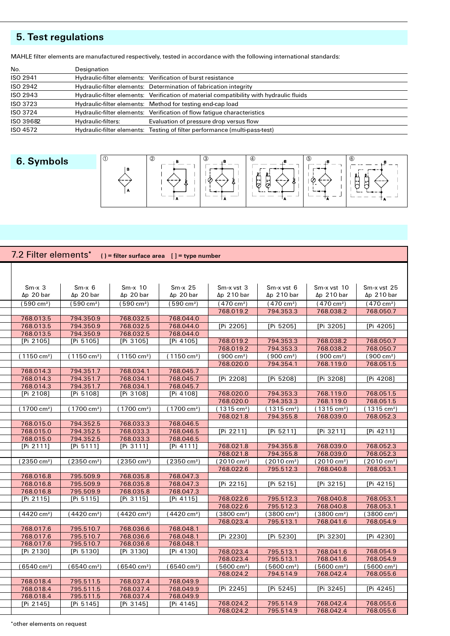# 5. Test regulations

| No.       | Designation        |                                                                                         |
|-----------|--------------------|-----------------------------------------------------------------------------------------|
| ISO 2941  |                    | Hydraulic-filter elements: Verification of burst resistance                             |
| ISO 2942  |                    | Hydraulic-filter elements: Determination of fabrication integrity                       |
| ISO 2943  |                    | Hydraulic-filter elements: Verification of material compatibility with hydraulic fluids |
| ISO 3723  |                    | Hydraulic-filter elements: Method for testing end-cap load                              |
| ISO 3724  |                    | Hydraulic-filter elements: Verification of flow fatigue characteristics                 |
| ISO 39682 | Hydraulic-filters: | Evaluation of pressure drop versus flow                                                 |
| ISO 4572  |                    | Hydraulic-filter elements: Testing of filter performance (multi-pass-test)              |

# 6. Symbols



| $Sm-x$ 3<br>$Sm-x$ 6<br>$Sm-x$ 10<br>$Sm-x$ 25<br>Sm-x vst 3<br>Sm-x vst 6<br>$\Delta p$ 20 bar<br>$\Delta p$ 20 bar<br>$\Delta p$ 20 bar<br>$\Delta p$ 20 bar<br>$\Delta p$ 210 bar<br>$\Delta p$ 210 bar<br>(590 cm <sup>2</sup> )<br>$(590 \text{ cm}^2)$<br>(590 cm <sup>2</sup> )<br>(590 cm <sup>2</sup> )<br>(470 cm <sup>2</sup> )<br>(470 cm <sup>2</sup> )<br>768.019.2<br>794.353.3<br>768.013.5<br>794.350.9<br>768.032.5<br>768.044.0<br>768.013.5<br>794.350.9<br>768.032.5<br>768.044.0<br>[Pi 2205]<br>[Pi 5205]<br>768.013.5<br>794.350.9<br>768.032.5<br>768.044.0 | Sm-x vst 10<br>Sm-x vst 25<br>$\Delta p$ 210 bar<br>$\Delta p$ 210 bar<br>$(470 \text{ cm}^2)$<br>$(470 \text{ cm}^2)$<br>768.038.2<br>768.050.7<br>[Pi 3205]<br>[Pi 4205] |
|--------------------------------------------------------------------------------------------------------------------------------------------------------------------------------------------------------------------------------------------------------------------------------------------------------------------------------------------------------------------------------------------------------------------------------------------------------------------------------------------------------------------------------------------------------------------------------------|----------------------------------------------------------------------------------------------------------------------------------------------------------------------------|
|                                                                                                                                                                                                                                                                                                                                                                                                                                                                                                                                                                                      |                                                                                                                                                                            |
|                                                                                                                                                                                                                                                                                                                                                                                                                                                                                                                                                                                      |                                                                                                                                                                            |
|                                                                                                                                                                                                                                                                                                                                                                                                                                                                                                                                                                                      |                                                                                                                                                                            |
|                                                                                                                                                                                                                                                                                                                                                                                                                                                                                                                                                                                      |                                                                                                                                                                            |
|                                                                                                                                                                                                                                                                                                                                                                                                                                                                                                                                                                                      |                                                                                                                                                                            |
|                                                                                                                                                                                                                                                                                                                                                                                                                                                                                                                                                                                      |                                                                                                                                                                            |
|                                                                                                                                                                                                                                                                                                                                                                                                                                                                                                                                                                                      |                                                                                                                                                                            |
|                                                                                                                                                                                                                                                                                                                                                                                                                                                                                                                                                                                      |                                                                                                                                                                            |
|                                                                                                                                                                                                                                                                                                                                                                                                                                                                                                                                                                                      |                                                                                                                                                                            |
| 794.353.3<br>[Pi 2105]<br>[Pi 5105]<br>[Pi 3105]<br>[Pi 4105]<br>768.019.2                                                                                                                                                                                                                                                                                                                                                                                                                                                                                                           | 768.038.2<br>768.050.7                                                                                                                                                     |
| 768.019.2<br>794.353.3                                                                                                                                                                                                                                                                                                                                                                                                                                                                                                                                                               | 768.038.2<br>768.050.7                                                                                                                                                     |
| $(1150 \text{ cm}^2)$<br>$(1150 \text{ cm}^2)$<br>$(1150 \text{ cm}^2)$<br>(1150 cm <sup>2</sup> )<br>$(900 \text{ cm}^2)$<br>$(900 \text{ cm}^2)$                                                                                                                                                                                                                                                                                                                                                                                                                                   | $(900 \text{ cm}^2)$<br>$(900 \text{ cm}^2)$                                                                                                                               |
| 794.354.1<br>768.020.0                                                                                                                                                                                                                                                                                                                                                                                                                                                                                                                                                               | 768.119.0<br>768.051.5                                                                                                                                                     |
| 768.014.3<br>794.351.7<br>768.034.1<br>768.045.7                                                                                                                                                                                                                                                                                                                                                                                                                                                                                                                                     |                                                                                                                                                                            |
| 768.014.3<br>794.351.7<br>768.034.1<br>768.045.7<br>[Pi 2208]<br>[Pi 5208]                                                                                                                                                                                                                                                                                                                                                                                                                                                                                                           | [Pi 3208]<br>[Pi 4208]                                                                                                                                                     |
| 768.014.3<br>794.351.7<br>768.034.1<br>768.045.7                                                                                                                                                                                                                                                                                                                                                                                                                                                                                                                                     |                                                                                                                                                                            |
| [Pi 2108]<br>[Pi 5108]<br>[Pi 3108]<br>[Pi 4108]<br>768.020.0<br>794.353.3                                                                                                                                                                                                                                                                                                                                                                                                                                                                                                           | 768.119.0<br>768.051.5                                                                                                                                                     |
| 768.020.0<br>794.353.3                                                                                                                                                                                                                                                                                                                                                                                                                                                                                                                                                               | 768.119.0<br>768.051.5                                                                                                                                                     |
| (1700 cm <sup>2</sup> )<br>(1700 cm <sup>2</sup> )<br>(1700 cm <sup>2</sup> )<br>(1700 cm <sup>2</sup> )<br>(1315 cm <sup>2</sup> )<br>(1315 cm <sup>2</sup> )                                                                                                                                                                                                                                                                                                                                                                                                                       | (1315 cm <sup>2</sup> )<br>(1315 cm <sup>2</sup> )                                                                                                                         |
| 768.021.8<br>794.355.8                                                                                                                                                                                                                                                                                                                                                                                                                                                                                                                                                               | 768.039.0<br>768.052.3                                                                                                                                                     |
| 768.015.0<br>794.352.5<br>768.033.3<br>768.046.5                                                                                                                                                                                                                                                                                                                                                                                                                                                                                                                                     |                                                                                                                                                                            |
| 768.015.0<br>794.352.5<br>768.033.3<br>768.046.5<br>[Pi 2211]<br>[Pi 5211]                                                                                                                                                                                                                                                                                                                                                                                                                                                                                                           | [Pi 4211]<br>[Pi 3211]                                                                                                                                                     |
| 768.015.0<br>794.352.5<br>768.033.3<br>768.046.5                                                                                                                                                                                                                                                                                                                                                                                                                                                                                                                                     |                                                                                                                                                                            |
| [Pi 2111]<br>[Pi 5111]<br>[Pi 3111]<br>[Pi 4111]<br>768.021.8<br>794.355.8                                                                                                                                                                                                                                                                                                                                                                                                                                                                                                           | 768.039.0<br>768.052.3                                                                                                                                                     |
| 768.021.8<br>794.355.8                                                                                                                                                                                                                                                                                                                                                                                                                                                                                                                                                               | 768.039.0<br>768.052.3                                                                                                                                                     |
| $(2350 \text{ cm}^2)$<br>$(2350 \text{ cm}^2)$<br>(2350 cm <sup>2</sup> )<br>$(2350 \text{ cm}^2)$<br>(2010 cm <sup>2</sup> )<br>(2010 cm <sup>2</sup> )                                                                                                                                                                                                                                                                                                                                                                                                                             | (2010 cm <sup>2</sup> )<br>(2010 cm <sup>2</sup> )                                                                                                                         |
| 768.022.6<br>795.512.3                                                                                                                                                                                                                                                                                                                                                                                                                                                                                                                                                               | 768.040.8<br>768.053.1                                                                                                                                                     |
| 768.016.8<br>795.509.9<br>768.035.8<br>768.047.3                                                                                                                                                                                                                                                                                                                                                                                                                                                                                                                                     |                                                                                                                                                                            |
| [Pi 2215]<br>[Pi 5215]<br>768.016.8<br>795.509.9<br>768.035.8<br>768.047.3                                                                                                                                                                                                                                                                                                                                                                                                                                                                                                           | [Pi 3215]<br>[Pi 4215]                                                                                                                                                     |
| 768.016.8<br>795.509.9<br>768.035.8<br>768.047.3                                                                                                                                                                                                                                                                                                                                                                                                                                                                                                                                     |                                                                                                                                                                            |
| 795.512.3<br>768.022.6<br>[Pi 2115]<br>[Pi 5115]<br>[Pi 3115]<br>[Pi 4115]                                                                                                                                                                                                                                                                                                                                                                                                                                                                                                           | 768.040.8<br>768.053.1                                                                                                                                                     |
| 768.022.6<br>795.512.3                                                                                                                                                                                                                                                                                                                                                                                                                                                                                                                                                               | 768.040.8<br>768.053.1                                                                                                                                                     |
| (4420 cm <sup>2</sup> )<br>(4420 cm <sup>2</sup> )<br>(4420 cm <sup>2</sup> )<br>$(4420 \text{ cm}^2)$<br>(3800 cm <sup>2</sup> )<br>$(3800 \text{ cm}^2)$                                                                                                                                                                                                                                                                                                                                                                                                                           | $(3800 \text{ cm}^2)$<br>(3800 cm <sup>2</sup> )                                                                                                                           |
| 768.023.4<br>795.513.1                                                                                                                                                                                                                                                                                                                                                                                                                                                                                                                                                               | 768.041.6<br>768.054.9                                                                                                                                                     |
| 768.017.6<br>795.510.7<br>768.036.6<br>768.048.1                                                                                                                                                                                                                                                                                                                                                                                                                                                                                                                                     |                                                                                                                                                                            |
| 768.017.6<br>795.510.7<br>768.036.6<br>768.048.1<br>[Pi 2230]<br>[Pi 5230]                                                                                                                                                                                                                                                                                                                                                                                                                                                                                                           | [Pi 3230]<br>[Pi 4230]                                                                                                                                                     |
| 768.017.6<br>795.510.7<br>768.036.6<br>768.048.1<br>[Pi 2130]<br>[Pi 3130]<br>[Pi 4130]                                                                                                                                                                                                                                                                                                                                                                                                                                                                                              |                                                                                                                                                                            |
| [Pi 5130]<br>768.023.4<br>795.513.1                                                                                                                                                                                                                                                                                                                                                                                                                                                                                                                                                  | 768.041.6<br>768.054.9                                                                                                                                                     |
| 768.023.4<br>795.513.1<br>(6540 cm <sup>2</sup> )<br>(6540 cm <sup>2</sup> )<br>$(6540 \text{ cm}^2)$<br>$(6540 \text{ cm}^2)$<br>$(5600 \text{ cm}^2)$<br>$(5600 \text{ cm}^2)$                                                                                                                                                                                                                                                                                                                                                                                                     | 768.041.6<br>768.054.9<br>$(5600 \text{ cm}^2)$<br>(5600 cm <sup>2</sup> )                                                                                                 |
| 768.024.2<br>794.514.9                                                                                                                                                                                                                                                                                                                                                                                                                                                                                                                                                               | 768.042.4<br>768.055.6                                                                                                                                                     |
| 768.018.4<br>795.511.5<br>768.037.4<br>768.049.9                                                                                                                                                                                                                                                                                                                                                                                                                                                                                                                                     |                                                                                                                                                                            |
| [Pi 2245]<br>[Pi 5245]<br>795.511.5<br>768.037.4<br>768.018.4<br>768.049.9                                                                                                                                                                                                                                                                                                                                                                                                                                                                                                           | [Pi 3245]<br>[Pi 4245]                                                                                                                                                     |
| 768.018.4<br>795.511.5<br>768.037.4<br>768.049.9                                                                                                                                                                                                                                                                                                                                                                                                                                                                                                                                     |                                                                                                                                                                            |
| 768.024.2<br>795.514.9<br>[Pi 2145]<br>[Pi 5145]<br>[Pi 3145]<br>[Pi 4145]                                                                                                                                                                                                                                                                                                                                                                                                                                                                                                           | 768.042.4<br>768.055.6                                                                                                                                                     |
| 795.514.9<br>768.024.2                                                                                                                                                                                                                                                                                                                                                                                                                                                                                                                                                               | 768.042.4<br>768.055.6                                                                                                                                                     |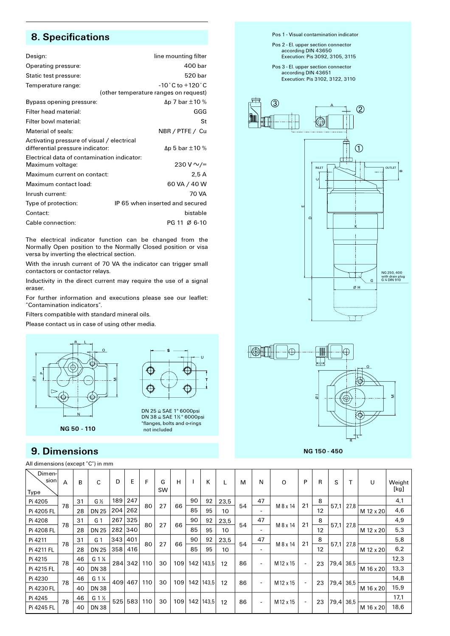# **8. Specifications**

| Design:                                                                        | line mounting filter                                                         |
|--------------------------------------------------------------------------------|------------------------------------------------------------------------------|
| Operating pressure:                                                            | 400 bar                                                                      |
| Static test pressure:                                                          | 520 bar                                                                      |
| Temperature range:                                                             | $-10^{\circ}$ C to $+120^{\circ}$ C<br>(other temperature ranges on request) |
| Bypass opening pressure:                                                       | $\Delta p$ 7 bar $\pm 10$ %                                                  |
| Filter head material:                                                          | GGG                                                                          |
| Filter bowl material:                                                          | St                                                                           |
| Material of seals:                                                             | NBR / PTFE / Cu                                                              |
| Activating pressure of visual / electrical<br>differential pressure indicator: | $\Delta p$ 5 bar $\pm 10$ %                                                  |
| Electrical data of contamination indicator:<br>Maximum voltage:                | 230 V $\sim$ /=                                                              |
| Maximum current on contact:                                                    | 2.5A                                                                         |
| Maximum contact load:                                                          | 60 VA / 40 W                                                                 |
| Inrush current:                                                                | 70 VA                                                                        |
| Type of protection:                                                            | IP65 when inserted and secured                                               |
| Contact:                                                                       | bistable                                                                     |
| Cable connection:                                                              | PG 11 Ø 6-10                                                                 |

The electrical indicator function can be changed from the Normally Open position to the Normally Closed position or visa versa by inverting the electrical section.

With the inrush current of 70 VA the indicator can trigger small contactors or contactor relays.

Inductivity in the direct current may require the use of a signal *<u>eraser</u>* 

For further information and executions please see our leaflet: "Contamination indicators".

Filters compatible with standard mineral oils.

Please contact us in case of using other media.





DN 25 ≘ SAE 1" 6000psi **DN 25 L SAE 1" 6000psi** \*flanges, bolts and o-rings **hot included** 

# **9. Dimensions**

All dimensions (except "C") in mm





**O**

**M**

**B**



NG 150 - 450

| Dimen-<br>sion<br><b>Type</b> | $\overline{A}$ | в  | C                 | D   | E   | F   | G<br>SW | н   |     | к     |                 | M  | N                        | O         | P                        | R  | S         |       | U         | Weight<br>[kg] |  |  |                          |    |           |  |  |      |
|-------------------------------|----------------|----|-------------------|-----|-----|-----|---------|-----|-----|-------|-----------------|----|--------------------------|-----------|--------------------------|----|-----------|-------|-----------|----------------|--|--|--------------------------|----|-----------|--|--|------|
| Pi 4205                       | 78             | 31 | $G\frac{1}{2}$    | 189 | 247 |     | 27      |     | 90  | 92    | 23,5            | 54 | 47                       | M 8 x 14  | 21                       | 8  |           |       |           | 4,1            |  |  |                          |    |           |  |  |      |
| Pi 4205 FL                    |                | 28 | <b>DN 25</b>      | 204 | 262 | 80  |         | 66  | 85  | 95    | 10              |    |                          |           |                          | 12 | 57,1      | 27,8  | M 12 x 20 | 4,6            |  |  |                          |    |           |  |  |      |
| Pi 4208                       | 78             | 31 | G <sub>1</sub>    | 267 | 325 | 80  | 27      |     | 90  | 92    | 23,5            |    | 47                       |           | 21                       | 8  |           |       |           | 4,9            |  |  |                          |    |           |  |  |      |
| Pi 4208 FL                    |                | 28 | <b>DN 25</b>      | 282 | 340 |     |         | 66  | 85  | 95    | 10 <sup>2</sup> | 54 | $\overline{\phantom{0}}$ | M 8 x 14  |                          | 12 | 57,1      | 27,8  | M 12 x 20 | 5,3            |  |  |                          |    |           |  |  |      |
| Pi 4211                       | 78             | 31 | G <sub>1</sub>    | 343 | 401 | 80  | 27      | 66  | 90  | 92    | 23,5            | 54 | 47                       |           | 21                       | 8  | 57,1      |       |           | 5,8            |  |  |                          |    |           |  |  |      |
| Pi 4211 FL                    |                | 28 | <b>DN 25</b>      | 358 | 416 |     |         |     | 85  | 95    | 10              |    | $\overline{\phantom{0}}$ | M 8 x 14  |                          | 12 |           | 27,8  | M 12 x 20 | 6,2            |  |  |                          |    |           |  |  |      |
| Pi 4215                       | 78             | 46 | $G_1 \frac{1}{4}$ | 284 |     |     | 30      | 109 | 142 | 143,5 |                 | 86 |                          |           | $\blacksquare$           | 23 |           |       |           | 12,3           |  |  |                          |    |           |  |  |      |
| Pi 4215 FL                    |                | 40 | <b>DN38</b>       |     | 342 | 110 |         |     |     |       | 12              |    | $\overline{\phantom{a}}$ | M 12 x 15 |                          |    | 79,4 36,5 |       | M 16 x 20 | 13,3           |  |  |                          |    |           |  |  |      |
| Pi 4230                       | 78             | 46 | G 1 <sup>%</sup>  |     |     |     |         | 409 | 467 |       |                 |    |                          | 110       | 30                       |    | 142       | 143,5 |           | 86             |  |  | $\overline{\phantom{a}}$ | 23 | 79,4 36,5 |  |  | 14,8 |
| Pi 4230 FL                    |                | 40 | <b>DN38</b>       |     |     |     |         | 109 |     |       | 12              |    | $\overline{\phantom{a}}$ | M 12 x 15 |                          |    |           |       | M 16 x 20 | 15,9           |  |  |                          |    |           |  |  |      |
| Pi 4245                       | 78             | 46 | G 1 $\frac{1}{2}$ | 525 | 583 | 110 | 30      | 109 | 142 | 143,5 | 12              | 86 |                          | M 12 x 15 | $\overline{\phantom{a}}$ | 23 | 79,4 36,5 |       |           | 17,1           |  |  |                          |    |           |  |  |      |
| Pi 4245 FL                    |                | 40 | <b>DN38</b>       |     |     |     |         |     |     |       |                 |    | $\overline{\phantom{a}}$ |           |                          |    |           |       | M 16 x 20 | 18,6           |  |  |                          |    |           |  |  |      |